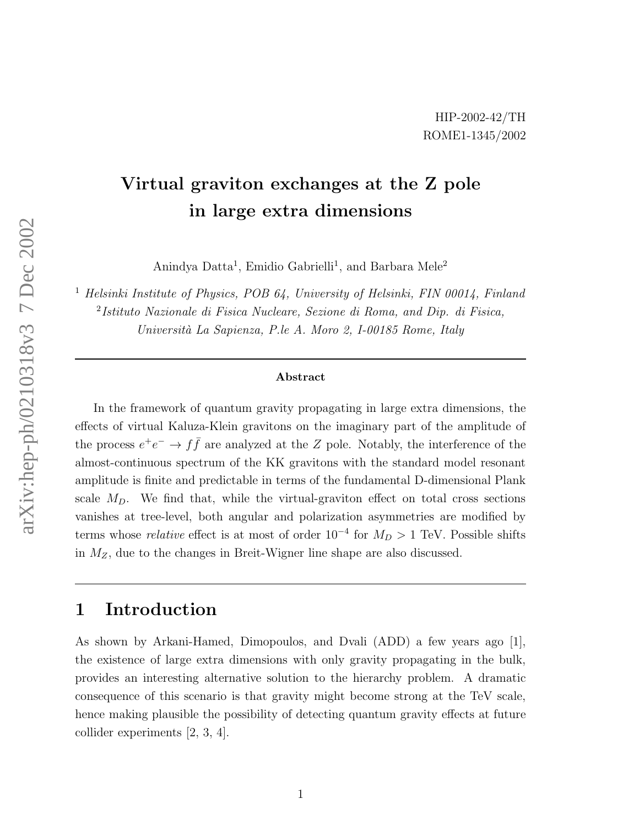# Virtual graviton exchanges at the Z pole in large extra dimensions

Anindya Datta<sup>1</sup>, Emidio Gabrielli<sup>1</sup>, and Barbara Mele<sup>2</sup>

<sup>1</sup> Helsinki Institute of Physics, POB 64, University of Helsinki, FIN 00014, Finland 2 Istituto Nazionale di Fisica Nucleare, Sezione di Roma, and Dip. di Fisica, Università La Sapienza, P.le A. Moro 2, I-00185 Rome, Italy

#### Abstract

In the framework of quantum gravity propagating in large extra dimensions, the effects of virtual Kaluza-Klein gravitons on the imaginary part of the amplitude of the process  $e^+e^- \to f\bar{f}$  are analyzed at the Z pole. Notably, the interference of the almost-continuous spectrum of the KK gravitons with the standard model resonant amplitude is finite and predictable in terms of the fundamental D-dimensional Plank scale  $M_D$ . We find that, while the virtual-graviton effect on total cross sections vanishes at tree-level, both angular and polarization asymmetries are modified by terms whose *relative* effect is at most of order  $10^{-4}$  for  $M_D > 1$  TeV. Possible shifts in MZ, due to the changes in Breit-Wigner line shape are also discussed.

#### 1 Introduction

As shown by Arkani-Hamed, Dimopoulos, and Dvali (ADD) a few years ago [1], the existence of large extra dimensions with only gravity propagating in the bulk, provides an interesting alternative solution to the hierarchy problem. A dramatic consequence of this scenario is that gravity might become strong at the TeV scale, hence making plausible the possibility of detecting quantum gravity effects at future collider experiments [2, 3, 4].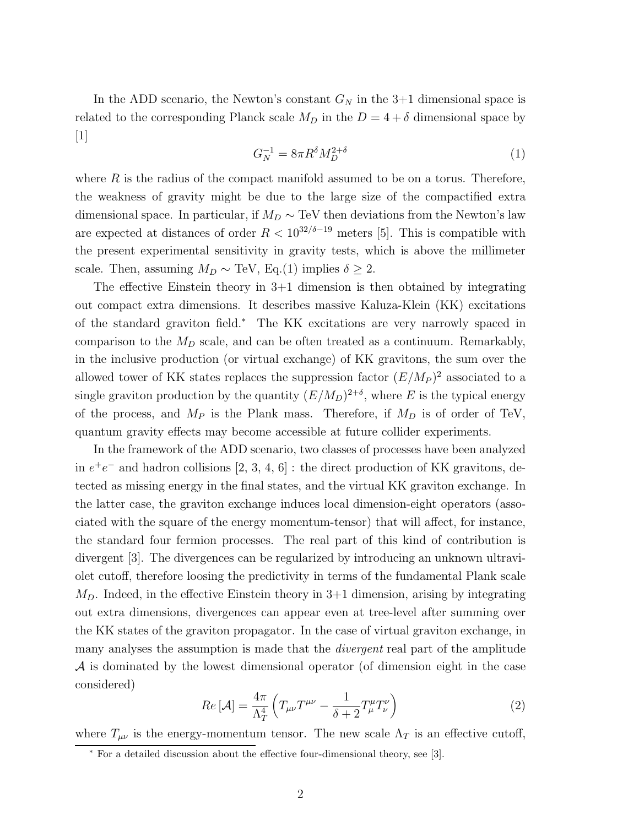In the ADD scenario, the Newton's constant  $G_N$  in the 3+1 dimensional space is related to the corresponding Planck scale  $M_D$  in the  $D = 4 + \delta$  dimensional space by [1]

$$
G_N^{-1} = 8\pi R^\delta M_D^{2+\delta} \tag{1}
$$

where  $R$  is the radius of the compact manifold assumed to be on a torus. Therefore, the weakness of gravity might be due to the large size of the compactified extra dimensional space. In particular, if  $M_D \sim \text{TeV}$  then deviations from the Newton's law are expected at distances of order  $R < 10^{32/6-19}$  meters [5]. This is compatible with the present experimental sensitivity in gravity tests, which is above the millimeter scale. Then, assuming  $M_D \sim \text{TeV}$ , Eq.(1) implies  $\delta \geq 2$ .

The effective Einstein theory in 3+1 dimension is then obtained by integrating out compact extra dimensions. It describes massive Kaluza-Klein (KK) excitations of the standard graviton field.<sup>∗</sup> The KK excitations are very narrowly spaced in comparison to the  $M_D$  scale, and can be often treated as a continuum. Remarkably, in the inclusive production (or virtual exchange) of KK gravitons, the sum over the allowed tower of KK states replaces the suppression factor  $(E/M_P)^2$  associated to a single graviton production by the quantity  $(E/M_D)^{2+\delta}$ , where E is the typical energy of the process, and  $M_P$  is the Plank mass. Therefore, if  $M_D$  is of order of TeV, quantum gravity effects may become accessible at future collider experiments.

In the framework of the ADD scenario, two classes of processes have been analyzed in  $e^+e^-$  and hadron collisions [2, 3, 4, 6] : the direct production of KK gravitons, detected as missing energy in the final states, and the virtual KK graviton exchange. In the latter case, the graviton exchange induces local dimension-eight operators (associated with the square of the energy momentum-tensor) that will affect, for instance, the standard four fermion processes. The real part of this kind of contribution is divergent [3]. The divergences can be regularized by introducing an unknown ultraviolet cutoff, therefore loosing the predictivity in terms of the fundamental Plank scale  $M_D$ . Indeed, in the effective Einstein theory in 3+1 dimension, arising by integrating out extra dimensions, divergences can appear even at tree-level after summing over the KK states of the graviton propagator. In the case of virtual graviton exchange, in many analyses the assumption is made that the *divergent* real part of the amplitude A is dominated by the lowest dimensional operator (of dimension eight in the case considered)

$$
Re\left[\mathcal{A}\right] = \frac{4\pi}{\Lambda_T^4} \left(T_{\mu\nu}T^{\mu\nu} - \frac{1}{\delta + 2}T_{\mu}^{\mu}T_{\nu}^{\nu}\right) \tag{2}
$$

where  $T_{\mu\nu}$  is the energy-momentum tensor. The new scale  $\Lambda_T$  is an effective cutoff,

<sup>∗</sup> For a detailed discussion about the effective four-dimensional theory, see [3].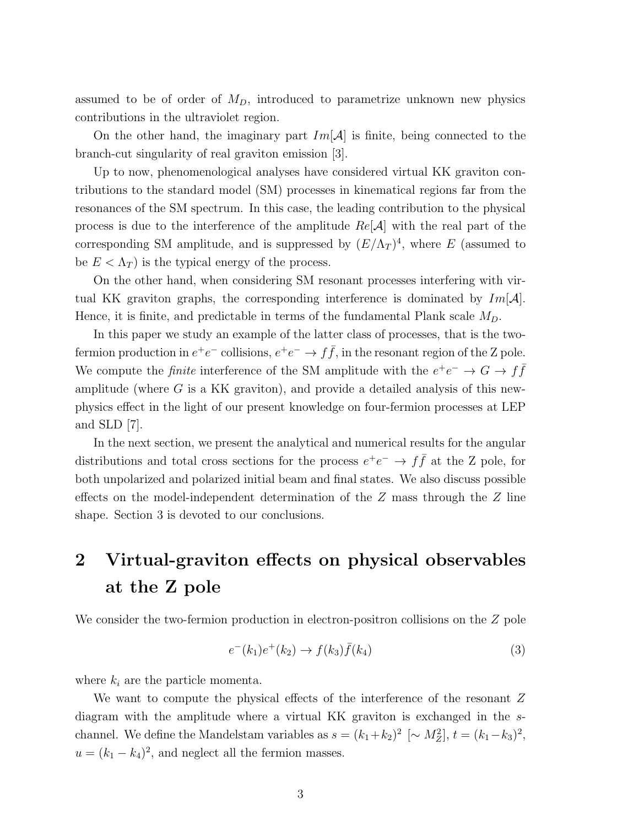assumed to be of order of  $M<sub>D</sub>$ , introduced to parametrize unknown new physics contributions in the ultraviolet region.

On the other hand, the imaginary part  $Im[\mathcal{A}]$  is finite, being connected to the branch-cut singularity of real graviton emission [3].

Up to now, phenomenological analyses have considered virtual KK graviton contributions to the standard model (SM) processes in kinematical regions far from the resonances of the SM spectrum. In this case, the leading contribution to the physical process is due to the interference of the amplitude  $Re[\mathcal{A}]$  with the real part of the corresponding SM amplitude, and is suppressed by  $(E/\Lambda_T)^4$ , where E (assumed to be  $E < \Lambda_T$ ) is the typical energy of the process.

On the other hand, when considering SM resonant processes interfering with virtual KK graviton graphs, the corresponding interference is dominated by  $Im[\mathcal{A}]$ . Hence, it is finite, and predictable in terms of the fundamental Plank scale  $M_D$ .

In this paper we study an example of the latter class of processes, that is the twofermion production in  $e^+e^-$  collisions,  $e^+e^- \to f\bar{f}$ , in the resonant region of the Z pole. We compute the *finite* interference of the SM amplitude with the  $e^+e^- \rightarrow G \rightarrow f\bar{f}$ amplitude (where  $G$  is a KK graviton), and provide a detailed analysis of this newphysics effect in the light of our present knowledge on four-fermion processes at LEP and SLD [7].

In the next section, we present the analytical and numerical results for the angular distributions and total cross sections for the process  $e^+e^- \to f\bar{f}$  at the Z pole, for both unpolarized and polarized initial beam and final states. We also discuss possible effects on the model-independent determination of the  $Z$  mass through the  $Z$  line shape. Section 3 is devoted to our conclusions.

# 2 Virtual-graviton effects on physical observables at the Z pole

We consider the two-fermion production in electron-positron collisions on the Z pole

$$
e^-(k_1)e^+(k_2) \to f(k_3)\bar{f}(k_4)
$$
\n(3)

where  $k_i$  are the particle momenta.

We want to compute the physical effects of the interference of the resonant Z diagram with the amplitude where a virtual KK graviton is exchanged in the schannel. We define the Mandelstam variables as  $s = (k_1 + k_2)^2 \sim M_Z^2$ ,  $t = (k_1 - k_3)^2$ ,  $u = (k_1 - k_4)^2$ , and neglect all the fermion masses.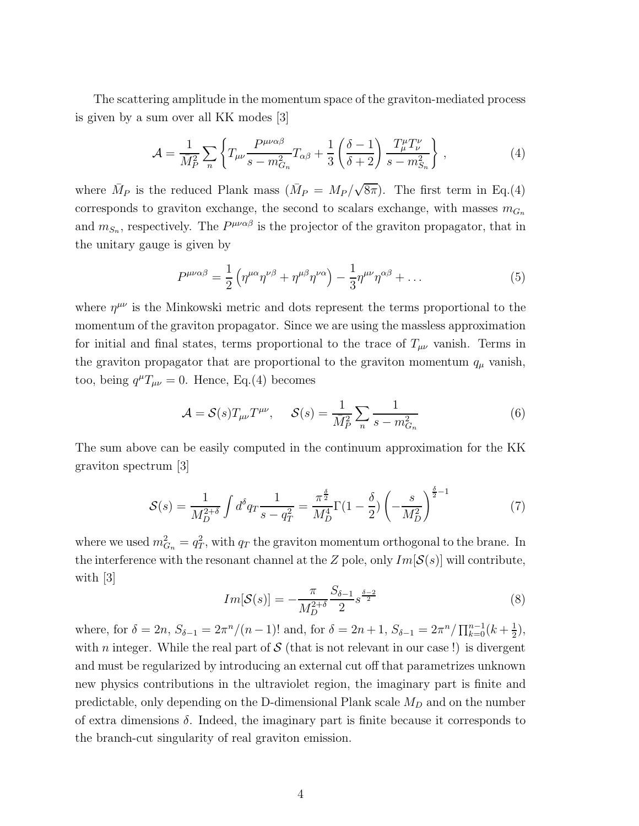The scattering amplitude in the momentum space of the graviton-mediated process is given by a sum over all KK modes [3]

$$
\mathcal{A} = \frac{1}{\bar{M}_P^2} \sum_n \left\{ T_{\mu\nu} \frac{P^{\mu\nu\alpha\beta}}{s - m_{G_n}^2} T_{\alpha\beta} + \frac{1}{3} \left( \frac{\delta - 1}{\delta + 2} \right) \frac{T_{\mu}^{\mu} T_{\nu}^{\nu}}{s - m_{G_n}^2} \right\},\tag{4}
$$

where  $\bar{M}_P$  is the reduced Plank mass  $(\bar{M}_P = M_P / \sqrt{8\pi})$ . The first term in Eq.(4) corresponds to graviton exchange, the second to scalars exchange, with masses  $m_{G_n}$ and  $m_{S_n}$ , respectively. The  $P^{\mu\nu\alpha\beta}$  is the projector of the graviton propagator, that in the unitary gauge is given by

$$
P^{\mu\nu\alpha\beta} = \frac{1}{2} \left( \eta^{\mu\alpha} \eta^{\nu\beta} + \eta^{\mu\beta} \eta^{\nu\alpha} \right) - \frac{1}{3} \eta^{\mu\nu} \eta^{\alpha\beta} + \dots \tag{5}
$$

where  $\eta^{\mu\nu}$  is the Minkowski metric and dots represent the terms proportional to the momentum of the graviton propagator. Since we are using the massless approximation for initial and final states, terms proportional to the trace of  $T_{\mu\nu}$  vanish. Terms in the graviton propagator that are proportional to the graviton momentum  $q_{\mu}$  vanish, too, being  $q^{\mu}T_{\mu\nu} = 0$ . Hence, Eq.(4) becomes

$$
\mathcal{A} = \mathcal{S}(s) T_{\mu\nu} T^{\mu\nu}, \quad \mathcal{S}(s) = \frac{1}{\bar{M}_P^2} \sum_n \frac{1}{s - m_{G_n}^2} \tag{6}
$$

The sum above can be easily computed in the continuum approximation for the KK graviton spectrum [3]

$$
S(s) = \frac{1}{M_D^{2+\delta}} \int d^{\delta}q \, \frac{1}{s - q_T^2} = \frac{\pi^{\frac{\delta}{2}}}{M_D^4} \Gamma(1 - \frac{\delta}{2}) \left( -\frac{s}{M_D^2} \right)^{\frac{\delta}{2} - 1} \tag{7}
$$

where we used  $m_{G_n}^2 = q_T^2$  $T_T^2$ , with  $q_T$  the graviton momentum orthogonal to the brane. In the interference with the resonant channel at the Z pole, only  $Im[\mathcal{S}(s)]$  will contribute, with [3]

$$
Im[\mathcal{S}(s)] = -\frac{\pi}{M_D^{2+\delta}} \frac{S_{\delta-1}}{2} s^{\frac{\delta-2}{2}}
$$
(8)

where, for  $\delta = 2n$ ,  $S_{\delta-1} = 2\pi^{n}/(n-1)!$  and, for  $\delta = 2n+1$ ,  $S_{\delta-1} = 2\pi^{n}/\prod_{k=0}^{n-1}(k+\frac{1}{2})$  $(\frac{1}{2}),$ with n integer. While the real part of  $S$  (that is not relevant in our case!) is divergent and must be regularized by introducing an external cut off that parametrizes unknown new physics contributions in the ultraviolet region, the imaginary part is finite and predictable, only depending on the D-dimensional Plank scale  $M_D$  and on the number of extra dimensions  $\delta$ . Indeed, the imaginary part is finite because it corresponds to the branch-cut singularity of real graviton emission.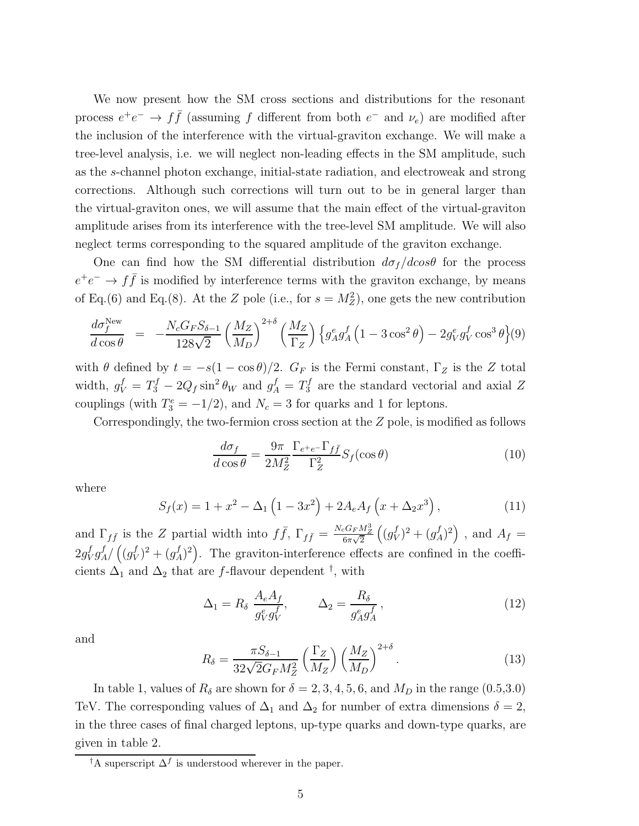We now present how the SM cross sections and distributions for the resonant process  $e^+e^- \rightarrow f\bar{f}$  (assuming f different from both  $e^-$  and  $\nu_e$ ) are modified after the inclusion of the interference with the virtual-graviton exchange. We will make a tree-level analysis, i.e. we will neglect non-leading effects in the SM amplitude, such as the s-channel photon exchange, initial-state radiation, and electroweak and strong corrections. Although such corrections will turn out to be in general larger than the virtual-graviton ones, we will assume that the main effect of the virtual-graviton amplitude arises from its interference with the tree-level SM amplitude. We will also neglect terms corresponding to the squared amplitude of the graviton exchange.

One can find how the SM differential distribution  $d\sigma_f/d\cos\theta$  for the process  $e^+e^- \rightarrow f\bar{f}$  is modified by interference terms with the graviton exchange, by means of Eq.(6) and Eq.(8). At the Z pole (i.e., for  $s = M_Z^2$ ), one gets the new contribution

$$
\frac{d\sigma_f^{\text{New}}}{d\cos\theta} = -\frac{N_c G_F S_{\delta-1}}{128\sqrt{2}} \left(\frac{M_Z}{M_D}\right)^{2+\delta} \left(\frac{M_Z}{\Gamma_Z}\right) \left\{g_A^e g_A^f \left(1 - 3\cos^2\theta\right) - 2g_V^e g_V^f \cos^3\theta\right\} (9)
$$

with  $\theta$  defined by  $t = -s(1 - \cos \theta)/2$ .  $G_F$  is the Fermi constant,  $\Gamma_Z$  is the Z total width,  $g_V^f = T_3^f - 2Q_f \sin^2 \theta_W$  and  $g_A^f = T_3^f$  are the standard vectorial and axial Z couplings (with  $T_3^e = -1/2$ ), and  $N_c = 3$  for quarks and 1 for leptons.

Correspondingly, the two-fermion cross section at the  $Z$  pole, is modified as follows

$$
\frac{d\sigma_f}{d\cos\theta} = \frac{9\pi}{2M_Z^2} \frac{\Gamma_{e^+e^-} \Gamma_{f\bar{f}}}{\Gamma_Z^2} S_f(\cos\theta)
$$
(10)

where

$$
S_f(x) = 1 + x^2 - \Delta_1 \left( 1 - 3x^2 \right) + 2A_e A_f \left( x + \Delta_2 x^3 \right), \tag{11}
$$

and  $\Gamma_{f\bar{f}}$  is the Z partial width into  $f\bar{f}$ ,  $\Gamma_{f\bar{f}} = \frac{N_c G_F M_Z^3}{6\pi\sqrt{2}} \left( \frac{g_V^f}{g_V^2} \right)$  $(y^{(f)}_I)^2 + (y^{(f)}_A)^2$ , and  $A_f =$  $2g_{\rm V}^f$  ${}_V^f g_A^f / \left( (g_V^f$  $\left\{ \int_{V}^{f} (y) \right\}^2 + \left( y_A^f \right)^2$ . The graviton-interference effects are confined in the coefficients  $\Delta_1$  and  $\Delta_2$  that are f-flavour dependent <sup>†</sup>, with

$$
\Delta_1 = R_\delta \frac{A_e A_f}{g_V^e g_V^f}, \qquad \Delta_2 = \frac{R_\delta}{g_A^e g_A^f}, \qquad (12)
$$

and

$$
R_{\delta} = \frac{\pi S_{\delta - 1}}{32\sqrt{2}G_F M_Z^2} \left(\frac{\Gamma_Z}{M_Z}\right) \left(\frac{M_Z}{M_D}\right)^{2 + \delta}.
$$
 (13)

In table 1, values of  $R_{\delta}$  are shown for  $\delta = 2, 3, 4, 5, 6$ , and  $M_D$  in the range  $(0.5, 3.0)$ TeV. The corresponding values of  $\Delta_1$  and  $\Delta_2$  for number of extra dimensions  $\delta = 2$ , in the three cases of final charged leptons, up-type quarks and down-type quarks, are given in table 2.

<sup>&</sup>lt;sup>†</sup>A superscript  $\Delta^f$  is understood wherever in the paper.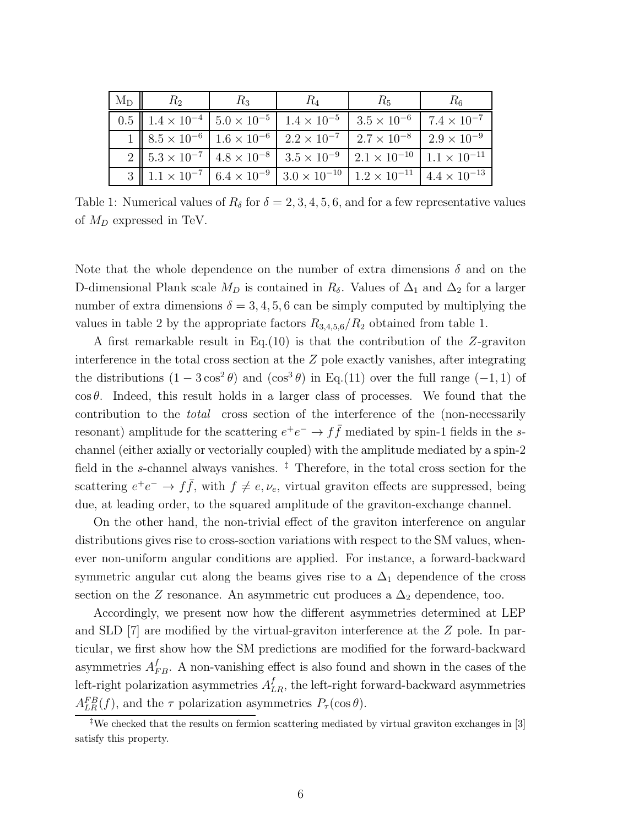| $\mid M_{D} \mid \mid R_{2}$ | $R_3$ | $R_4$ | $R_5$                                                                                                                    | $R_6$ |
|------------------------------|-------|-------|--------------------------------------------------------------------------------------------------------------------------|-------|
|                              |       |       | 0.5 $1.4 \times 10^{-4}$ $5.0 \times 10^{-5}$ $1.4 \times 10^{-5}$ $3.5 \times 10^{-6}$ $7.4 \times 10^{-7}$             |       |
|                              |       |       | 1   $8.5 \times 10^{-6}$   $1.6 \times 10^{-6}$   $2.2 \times 10^{-7}$   $2.7 \times 10^{-8}$   $2.9 \times 10^{-9}$     |       |
|                              |       |       | 2   $5.3 \times 10^{-7}$   $4.8 \times 10^{-8}$   $3.5 \times 10^{-9}$   $2.1 \times 10^{-10}$   $1.1 \times 10^{-11}$   |       |
|                              |       |       | 3    $1.1 \times 10^{-7}$   $6.4 \times 10^{-9}$   $3.0 \times 10^{-10}$   $1.2 \times 10^{-11}$   $4.4 \times 10^{-13}$ |       |

Table 1: Numerical values of  $R_{\delta}$  for  $\delta = 2, 3, 4, 5, 6$ , and for a few representative values of  $M_D$  expressed in TeV.

Note that the whole dependence on the number of extra dimensions  $\delta$  and on the D-dimensional Plank scale  $M_D$  is contained in  $R_\delta$ . Values of  $\Delta_1$  and  $\Delta_2$  for a larger number of extra dimensions  $\delta = 3, 4, 5, 6$  can be simply computed by multiplying the values in table 2 by the appropriate factors  $R_{3,4,5,6}/R_2$  obtained from table 1.

A first remarkable result in Eq.(10) is that the contribution of the Z-graviton interference in the total cross section at the Z pole exactly vanishes, after integrating the distributions  $(1 - 3\cos^2\theta)$  and  $(\cos^3\theta)$  in Eq.(11) over the full range  $(-1, 1)$  of  $\cos \theta$ . Indeed, this result holds in a larger class of processes. We found that the contribution to the total cross section of the interference of the (non-necessarily resonant) amplitude for the scattering  $e^+e^- \to f\bar{f}$  mediated by spin-1 fields in the schannel (either axially or vectorially coupled) with the amplitude mediated by a spin-2 field in the s-channel always vanishes.  $\frac{1}{2}$  Therefore, in the total cross section for the scattering  $e^+e^- \to f\bar{f}$ , with  $f \neq e, \nu_e$ , virtual graviton effects are suppressed, being due, at leading order, to the squared amplitude of the graviton-exchange channel.

On the other hand, the non-trivial effect of the graviton interference on angular distributions gives rise to cross-section variations with respect to the SM values, whenever non-uniform angular conditions are applied. For instance, a forward-backward symmetric angular cut along the beams gives rise to a  $\Delta_1$  dependence of the cross section on the  $Z$  resonance. An asymmetric cut produces a  $\Delta_2$  dependence, too.

Accordingly, we present now how the different asymmetries determined at LEP and SLD [7] are modified by the virtual-graviton interference at the Z pole. In particular, we first show how the SM predictions are modified for the forward-backward asymmetries  $A_{FB}^f$ . A non-vanishing effect is also found and shown in the cases of the left-right polarization asymmetries  $A_{LR}^f$ , the left-right forward-backward asymmetries  $A_{LR}^{FB}(f)$ , and the  $\tau$  polarization asymmetries  $P_{\tau}(\cos \theta)$ .

<sup>‡</sup>We checked that the results on fermion scattering mediated by virtual graviton exchanges in [3] satisfy this property.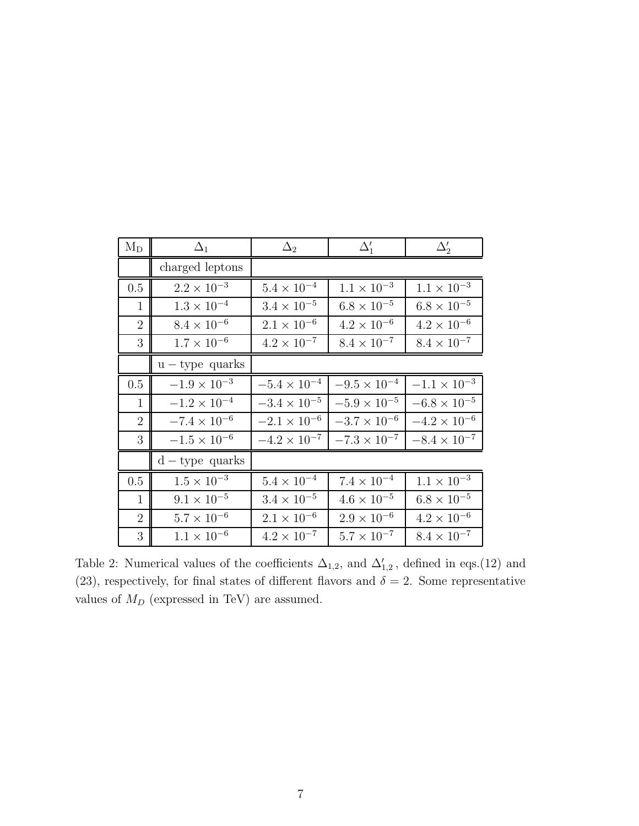| $M_D$          | $\Delta_1$            | $\Delta_2$            | $\Delta_1'$           | $\Delta'_2$           |
|----------------|-----------------------|-----------------------|-----------------------|-----------------------|
|                | charged leptons       |                       |                       |                       |
| 0.5            | $2.2 \times 10^{-3}$  | $5.4\times10^{-4}$    | $1.1 \times 10^{-3}$  | $1.1 \times 10^{-3}$  |
| $\mathbf{1}$   | $1.3\times10^{-4}$    | $3.4 \times 10^{-5}$  | $6.8 \times 10^{-5}$  | $6.8 \times 10^{-5}$  |
| $\overline{2}$ | $8.4\times10^{-6}$    | $2.1 \times 10^{-6}$  | $4.2 \times 10^{-6}$  | $4.2 \times 10^{-6}$  |
| 3              | $1.7 \times 10^{-6}$  | $4.2 \times 10^{-7}$  | $8.4 \times 10^{-7}$  | $8.4 \times 10^{-7}$  |
|                | $u - type$ quarks     |                       |                       |                       |
| 0.5            | $-1.9 \times 10^{-3}$ | $-5.4\times10^{-4}$   | $-9.5 \times 10^{-4}$ | $-1.1 \times 10^{-3}$ |
| $\mathbf{1}$   | $-1.2 \times 10^{-4}$ | $-3.4 \times 10^{-5}$ | $-5.9 \times 10^{-5}$ | $-6.8\times10^{-5}$   |
| $\overline{2}$ | $-7.4\times10^{-6}$   | $-2.1 \times 10^{-6}$ | $-3.7 \times 10^{-6}$ | $-4.2\times10^{-6}$   |
| 3              | $-1.5\times10^{-6}$   | $-4.2 \times 10^{-7}$ | $-7.3 \times 10^{-7}$ | $-8.4 \times 10^{-7}$ |
|                | $d$ – type quarks     |                       |                       |                       |
| 0.5            | $1.5\times10^{-3}$    | $5.4 \times 10^{-4}$  | $7.4 \times 10^{-4}$  | $1.1 \times 10^{-3}$  |
| $\mathbf{1}$   | $9.1 \times 10^{-5}$  | $3.4 \times 10^{-5}$  | $4.6 \times 10^{-5}$  | $6.8 \times 10^{-5}$  |
| $\overline{2}$ | $5.7 \times 10^{-6}$  | $2.1 \times 10^{-6}$  | $2.9 \times 10^{-6}$  | $4.2 \times 10^{-6}$  |
| 3              | $1.1 \times 10^{-6}$  | $4.2\times10^{-7}$    | $5.7 \times 10^{-7}$  | $8.4 \times 10^{-7}$  |

Table 2: Numerical values of the coefficients  $\Delta_{1,2}$ , and  $\Delta'_{1,2}$ , defined in eqs.(12) and (23), respectively, for final states of different flavors and  $\delta = 2$ . Some representative values of  $M_D$  (expressed in TeV) are assumed.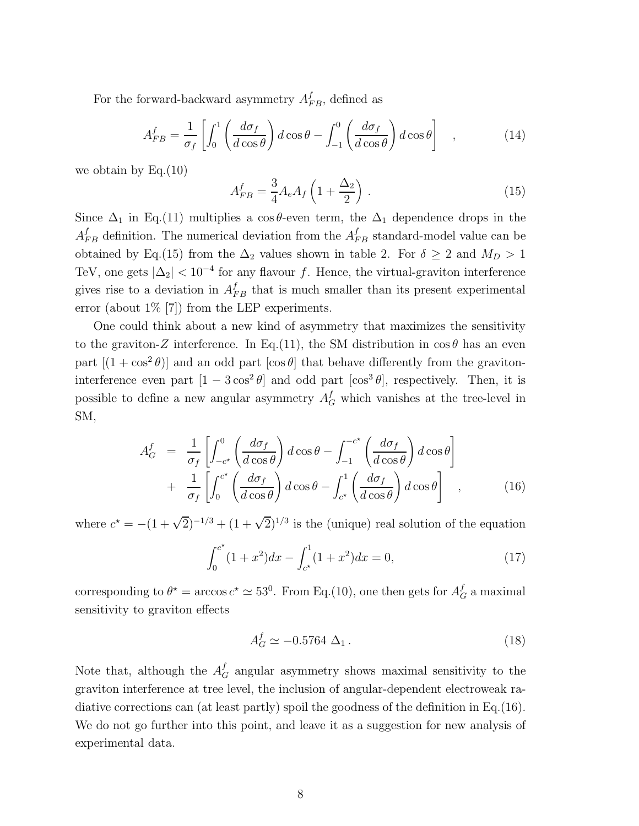For the forward-backward asymmetry  $A_{FB}^f$ , defined as

$$
A_{FB}^f = \frac{1}{\sigma_f} \left[ \int_0^1 \left( \frac{d\sigma_f}{d\cos\theta} \right) d\cos\theta - \int_{-1}^0 \left( \frac{d\sigma_f}{d\cos\theta} \right) d\cos\theta \right] , \qquad (14)
$$

we obtain by  $Eq.(10)$ 

$$
A_{FB}^f = \frac{3}{4} A_e A_f \left( 1 + \frac{\Delta_2}{2} \right) . \tag{15}
$$

Since  $\Delta_1$  in Eq.(11) multiplies a cos θ-even term, the  $\Delta_1$  dependence drops in the  $A_{FB}^f$  definition. The numerical deviation from the  $A_{FB}^f$  standard-model value can be obtained by Eq.(15) from the  $\Delta_2$  values shown in table 2. For  $\delta \geq 2$  and  $M_D > 1$ TeV, one gets  $|\Delta_2|$  < 10<sup>-4</sup> for any flavour f. Hence, the virtual-graviton interference gives rise to a deviation in  $A_{FB}^f$  that is much smaller than its present experimental error (about 1% [7]) from the LEP experiments.

One could think about a new kind of asymmetry that maximizes the sensitivity to the graviton-Z interference. In Eq.(11), the SM distribution in  $\cos \theta$  has an even part  $[(1 + \cos^2 \theta)]$  and an odd part  $[\cos \theta]$  that behave differently from the gravitoninterference even part  $[1 - 3\cos^2\theta]$  and odd part  $[\cos^3\theta]$ , respectively. Then, it is possible to define a new angular asymmetry  $A_G^f$  which vanishes at the tree-level in SM,

$$
A_G^f = \frac{1}{\sigma_f} \left[ \int_{-c^*}^0 \left( \frac{d\sigma_f}{d\cos\theta} \right) d\cos\theta - \int_{-1}^{-c^*} \left( \frac{d\sigma_f}{d\cos\theta} \right) d\cos\theta \right] + \frac{1}{\sigma_f} \left[ \int_0^{c^*} \left( \frac{d\sigma_f}{d\cos\theta} \right) d\cos\theta - \int_{c^*}^1 \left( \frac{d\sigma_f}{d\cos\theta} \right) d\cos\theta \right],
$$
 (16)

where  $c^* = -(1 + \sqrt{2})^{-1/3} + (1 + \sqrt{2})^{1/3}$  is the (unique) real solution of the equation

$$
\int_0^{c^*} (1+x^2)dx - \int_{c^*}^1 (1+x^2)dx = 0,
$$
\n(17)

corresponding to  $\theta^* = \arccos c^* \approx 53^0$ . From Eq.(10), one then gets for  $A_G^f$  a maximal sensitivity to graviton effects

$$
A_G^f \simeq -0.5764 \; \Delta_1 \,. \tag{18}
$$

Note that, although the  $A_G^f$  angular asymmetry shows maximal sensitivity to the graviton interference at tree level, the inclusion of angular-dependent electroweak radiative corrections can (at least partly) spoil the goodness of the definition in Eq.(16). We do not go further into this point, and leave it as a suggestion for new analysis of experimental data.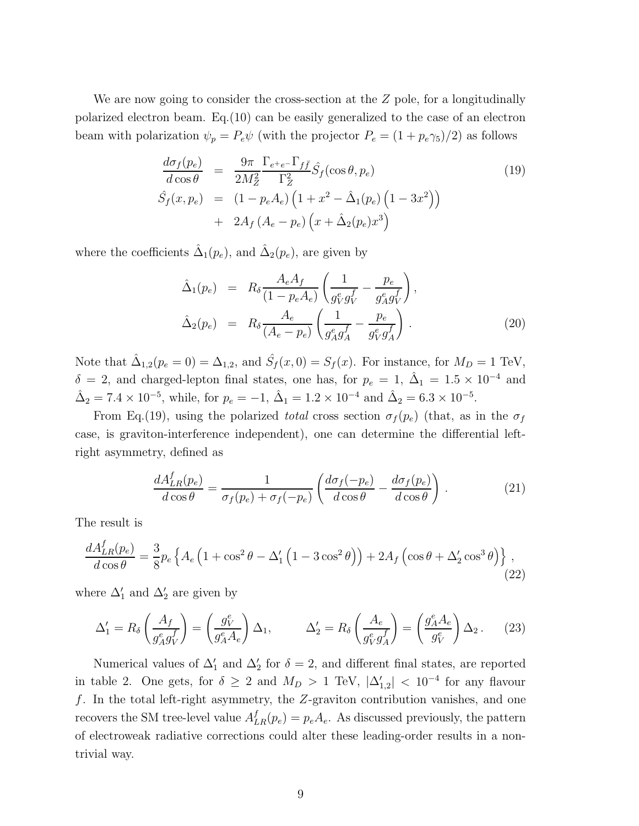We are now going to consider the cross-section at the  $Z$  pole, for a longitudinally polarized electron beam. Eq.(10) can be easily generalized to the case of an electron beam with polarization  $\psi_p = P_e \psi$  (with the projector  $P_e = (1 + p_e \gamma_5)/2$ ) as follows

$$
\frac{d\sigma_f(p_e)}{d\cos\theta} = \frac{9\pi}{2M_Z^2} \frac{\Gamma_{e^+e^-}\Gamma_{f\bar{f}}}{\Gamma_Z^2} \hat{S}_f(\cos\theta, p_e)
$$
\n
$$
\hat{S}_f(x, p_e) = (1 - p_e A_e) \left(1 + x^2 - \hat{\Delta}_1(p_e) \left(1 - 3x^2\right)\right)
$$
\n
$$
+ 2A_f \left(A_e - p_e\right) \left(x + \hat{\Delta}_2(p_e)x^3\right)
$$
\n(19)

where the coefficients  $\hat{\Delta}_1(p_e)$ , and  $\hat{\Delta}_2(p_e)$ , are given by

$$
\hat{\Delta}_1(p_e) = R_{\delta} \frac{A_e A_f}{(1 - p_e A_e)} \left( \frac{1}{g_V^e g_V^f} - \frac{p_e}{g_A^e g_V^f} \right),
$$
\n
$$
\hat{\Delta}_2(p_e) = R_{\delta} \frac{A_e}{(A_e - p_e)} \left( \frac{1}{g_A^e g_A^f} - \frac{p_e}{g_V^e g_A^f} \right).
$$
\n(20)

Note that  $\hat{\Delta}_{1,2}(p_e=0) = \Delta_{1,2}$ , and  $\hat{S}_f(x,0) = S_f(x)$ . For instance, for  $M_D = 1$  TeV,  $\delta = 2$ , and charged-lepton final states, one has, for  $p_e = 1$ ,  $\hat{\Delta}_1 = 1.5 \times 10^{-4}$  and  $\hat{\Delta}_2 = 7.4 \times 10^{-5}$ , while, for  $p_e = -1$ ,  $\hat{\Delta}_1 = 1.2 \times 10^{-4}$  and  $\hat{\Delta}_2 = 6.3 \times 10^{-5}$ .

From Eq.(19), using the polarized total cross section  $\sigma_f(p_e)$  (that, as in the  $\sigma_f$ case, is graviton-interference independent), one can determine the differential leftright asymmetry, defined as

$$
\frac{dA_{LR}^f(p_e)}{d\cos\theta} = \frac{1}{\sigma_f(p_e) + \sigma_f(-p_e)} \left( \frac{d\sigma_f(-p_e)}{d\cos\theta} - \frac{d\sigma_f(p_e)}{d\cos\theta} \right). \tag{21}
$$

The result is

$$
\frac{dA_{LR}^f(p_e)}{d\cos\theta} = \frac{3}{8}p_e \left\{ A_e \left( 1 + \cos^2\theta - \Delta_1' \left( 1 - 3\cos^2\theta \right) \right) + 2A_f \left( \cos\theta + \Delta_2' \cos^3\theta \right) \right\},\tag{22}
$$

where  $\Delta'_1$  and  $\Delta'_2$  are given by

$$
\Delta_1' = R_\delta \left( \frac{A_f}{g_A^e g_V^f} \right) = \left( \frac{g_V^e}{g_A^e A_e} \right) \Delta_1, \qquad \Delta_2' = R_\delta \left( \frac{A_e}{g_V^e g_A^f} \right) = \left( \frac{g_A^e A_e}{g_V^e} \right) \Delta_2. \tag{23}
$$

Numerical values of  $\Delta'_1$  and  $\Delta'_2$  for  $\delta = 2$ , and different final states, are reported in table 2. One gets, for  $\delta \geq 2$  and  $M_D > 1$  TeV,  $|\Delta'_{1,2}| < 10^{-4}$  for any flavour f. In the total left-right asymmetry, the Z-graviton contribution vanishes, and one recovers the SM tree-level value  $A_{LR}^f(p_e) = p_e A_e$ . As discussed previously, the pattern of electroweak radiative corrections could alter these leading-order results in a nontrivial way.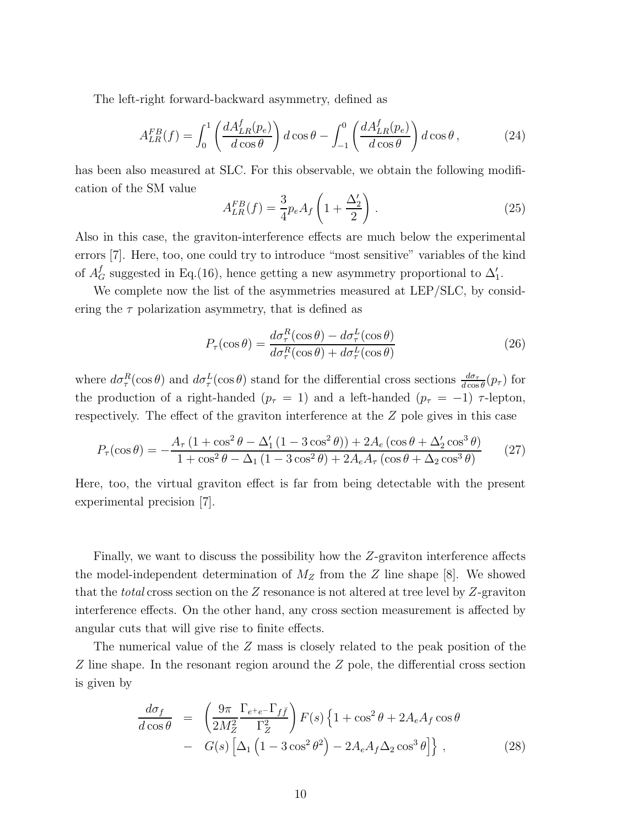The left-right forward-backward asymmetry, defined as

$$
A_{LR}^{FB}(f) = \int_0^1 \left( \frac{dA_{LR}^f(p_e)}{d\cos\theta} \right) d\cos\theta - \int_{-1}^0 \left( \frac{dA_{LR}^f(p_e)}{d\cos\theta} \right) d\cos\theta, \tag{24}
$$

has been also measured at SLC. For this observable, we obtain the following modification of the SM value

$$
A_{LR}^{FB}(f) = \frac{3}{4} p_e A_f \left( 1 + \frac{\Delta_2'}{2} \right) \,. \tag{25}
$$

Also in this case, the graviton-interference effects are much below the experimental errors [7]. Here, too, one could try to introduce "most sensitive" variables of the kind of  $A_G^f$  suggested in Eq.(16), hence getting a new asymmetry proportional to  $\Delta'_1$ .

We complete now the list of the asymmetries measured at LEP/SLC, by considering the  $\tau$  polarization asymmetry, that is defined as

$$
P_{\tau}(\cos \theta) = \frac{d\sigma_{\tau}^{R}(\cos \theta) - d\sigma_{\tau}^{L}(\cos \theta)}{d\sigma_{\tau}^{R}(\cos \theta) + d\sigma_{\tau}^{L}(\cos \theta)}
$$
(26)

where  $d\sigma_\tau^R(\cos\theta)$  and  $d\sigma_\tau^L(\cos\theta)$  stand for the differential cross sections  $\frac{d\sigma_\tau}{d\cos\theta}(p_\tau)$  for the production of a right-handed ( $p_\tau = 1$ ) and a left-handed ( $p_\tau = -1$ )  $\tau$ -lepton, respectively. The effect of the graviton interference at the Z pole gives in this case

$$
P_{\tau}(\cos\theta) = -\frac{A_{\tau} \left(1 + \cos^{2}\theta - \Delta_{1}'\left(1 - 3\cos^{2}\theta\right)\right) + 2A_{e} \left(\cos\theta + \Delta_{2}'\cos^{3}\theta\right)}{1 + \cos^{2}\theta - \Delta_{1}\left(1 - 3\cos^{2}\theta\right) + 2A_{e}A_{\tau}\left(\cos\theta + \Delta_{2}\cos^{3}\theta\right)}
$$
(27)

Here, too, the virtual graviton effect is far from being detectable with the present experimental precision [7].

Finally, we want to discuss the possibility how the Z-graviton interference affects the model-independent determination of  $M_Z$  from the Z line shape [8]. We showed that the *total* cross section on the  $Z$  resonance is not altered at tree level by  $Z$ -graviton interference effects. On the other hand, any cross section measurement is affected by angular cuts that will give rise to finite effects.

The numerical value of the Z mass is closely related to the peak position of the Z line shape. In the resonant region around the Z pole, the differential cross section is given by

$$
\frac{d\sigma_f}{d\cos\theta} = \left(\frac{9\pi}{2M_Z^2} \frac{\Gamma_{e^+e^-}\Gamma_{f\bar{f}}}{\Gamma_Z^2}\right) F(s) \left\{1 + \cos^2\theta + 2A_eA_f\cos\theta - G(s)\left[\Delta_1\left(1 - 3\cos^2\theta^2\right) - 2A_eA_f\Delta_2\cos^3\theta\right]\right\},
$$
\n(28)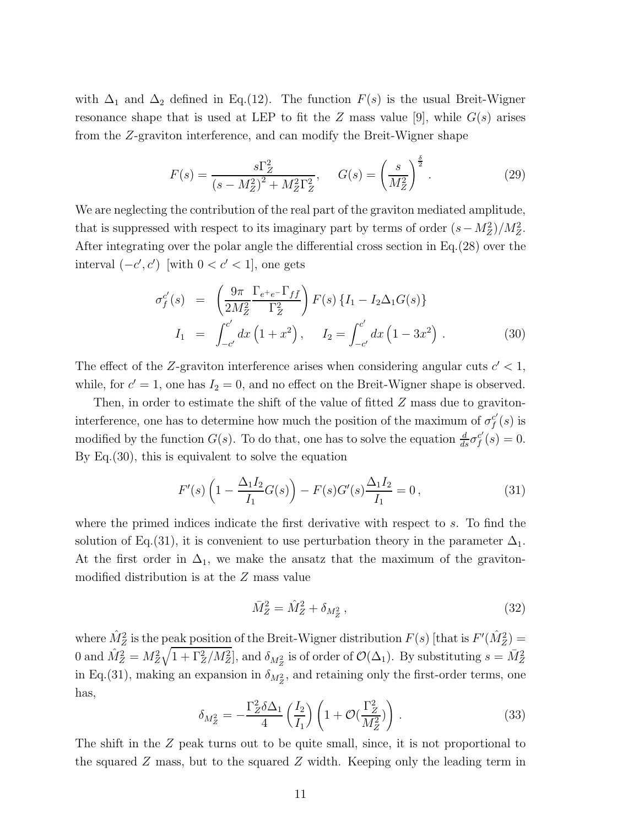with  $\Delta_1$  and  $\Delta_2$  defined in Eq.(12). The function  $F(s)$  is the usual Breit-Wigner resonance shape that is used at LEP to fit the Z mass value [9], while  $G(s)$  arises from the Z-graviton interference, and can modify the Breit-Wigner shape

$$
F(s) = \frac{s\Gamma_Z^2}{(s - M_Z^2)^2 + M_Z^2 \Gamma_Z^2}, \quad G(s) = \left(\frac{s}{M_Z^2}\right)^{\frac{\delta}{2}}.
$$
 (29)

We are neglecting the contribution of the real part of the graviton mediated amplitude, that is suppressed with respect to its imaginary part by terms of order  $(s - M_Z^2)/M_Z^2$ . After integrating over the polar angle the differential cross section in Eq.(28) over the interval  $(-c', c')$  [with  $0 < c' < 1$ ], one gets

$$
\sigma_f^{c'}(s) = \left(\frac{9\pi}{2M_Z^2} \frac{\Gamma_{e^+e^-} \Gamma_{f\bar{f}}}{\Gamma_Z^2}\right) F(s) \left\{I_1 - I_2 \Delta_1 G(s)\right\}
$$
  
\n
$$
I_1 = \int_{-c'}^{c'} dx \left(1 + x^2\right), \quad I_2 = \int_{-c'}^{c'} dx \left(1 - 3x^2\right).
$$
 (30)

The effect of the Z-graviton interference arises when considering angular cuts  $c' < 1$ , while, for  $c' = 1$ , one has  $I_2 = 0$ , and no effect on the Breit-Wigner shape is observed.

Then, in order to estimate the shift of the value of fitted Z mass due to gravitoninterference, one has to determine how much the position of the maximum of  $\sigma_f^{c'}$  $_{f}^{c^{\prime}}(s)$  is modified by the function  $G(s)$ . To do that, one has to solve the equation  $\frac{d}{ds}\sigma_f^{c'}$  $f'(s) = 0.$ By Eq.(30), this is equivalent to solve the equation

$$
F'(s)\left(1 - \frac{\Delta_1 I_2}{I_1} G(s)\right) - F(s)G'(s)\frac{\Delta_1 I_2}{I_1} = 0\,,\tag{31}
$$

where the primed indices indicate the first derivative with respect to s. To find the solution of Eq.(31), it is convenient to use perturbation theory in the parameter  $\Delta_1$ . At the first order in  $\Delta_1$ , we make the ansatz that the maximum of the gravitonmodified distribution is at the Z mass value

$$
\bar{M}_Z^2 = \hat{M}_Z^2 + \delta_{M_Z^2},\tag{32}
$$

where  $\hat{M}^2_Z$  is the peak position of the Breit-Wigner distribution  $F(s)$  [that is  $F'(\hat{M}^2_Z)$  = 0 and  $\hat{M}_Z^2 = M_Z^2 \sqrt{1 + \Gamma_Z^2 / M_Z^2}$ , and  $\delta_{M_Z^2}$  is of order of  $\mathcal{O}(\Delta_1)$ . By substituting  $s = \bar{M}_Z^2$ in Eq.(31), making an expansion in  $\delta_{M_Z^2}$ , and retaining only the first-order terms, one has,

$$
\delta_{M_Z^2} = -\frac{\Gamma_Z^2 \delta \Delta_1}{4} \left(\frac{I_2}{I_1}\right) \left(1 + \mathcal{O}\left(\frac{\Gamma_Z^2}{M_Z^2}\right)\right). \tag{33}
$$

The shift in the Z peak turns out to be quite small, since, it is not proportional to the squared Z mass, but to the squared Z width. Keeping only the leading term in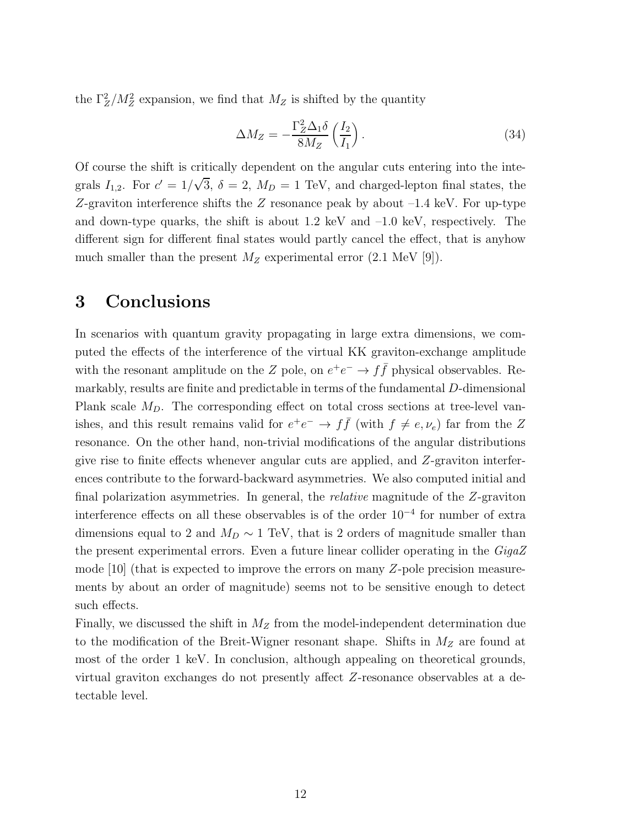the  $\Gamma_Z^2/M_Z^2$  expansion, we find that  $M_Z$  is shifted by the quantity

$$
\Delta M_Z = -\frac{\Gamma_Z^2 \Delta_1 \delta}{8M_Z} \left(\frac{I_2}{I_1}\right). \tag{34}
$$

Of course the shift is critically dependent on the angular cuts entering into the integrals  $I_{1,2}$ . For  $c' = 1/\sqrt{3}$ ,  $\delta = 2$ ,  $M_D = 1$  TeV, and charged-lepton final states, the Z-graviton interference shifts the Z resonance peak by about –1.4 keV. For up-type and down-type quarks, the shift is about  $1.2 \text{ keV}$  and  $-1.0 \text{ keV}$ , respectively. The different sign for different final states would partly cancel the effect, that is anyhow much smaller than the present  $M_Z$  experimental error (2.1 MeV [9]).

# 3 Conclusions

In scenarios with quantum gravity propagating in large extra dimensions, we computed the effects of the interference of the virtual KK graviton-exchange amplitude with the resonant amplitude on the Z pole, on  $e^+e^- \to f\bar{f}$  physical observables. Remarkably, results are finite and predictable in terms of the fundamental D-dimensional Plank scale  $M_D$ . The corresponding effect on total cross sections at tree-level vanishes, and this result remains valid for  $e^+e^- \to f\bar{f}$  (with  $f \neq e, \nu_e$ ) far from the Z resonance. On the other hand, non-trivial modifications of the angular distributions give rise to finite effects whenever angular cuts are applied, and Z-graviton interferences contribute to the forward-backward asymmetries. We also computed initial and final polarization asymmetries. In general, the relative magnitude of the Z-graviton interference effects on all these observables is of the order 10−<sup>4</sup> for number of extra dimensions equal to 2 and  $M_D \sim 1$  TeV, that is 2 orders of magnitude smaller than the present experimental errors. Even a future linear collider operating in the GigaZ mode [10] (that is expected to improve the errors on many Z-pole precision measurements by about an order of magnitude) seems not to be sensitive enough to detect such effects.

Finally, we discussed the shift in  $M_Z$  from the model-independent determination due to the modification of the Breit-Wigner resonant shape. Shifts in  $M_Z$  are found at most of the order 1 keV. In conclusion, although appealing on theoretical grounds, virtual graviton exchanges do not presently affect Z-resonance observables at a detectable level.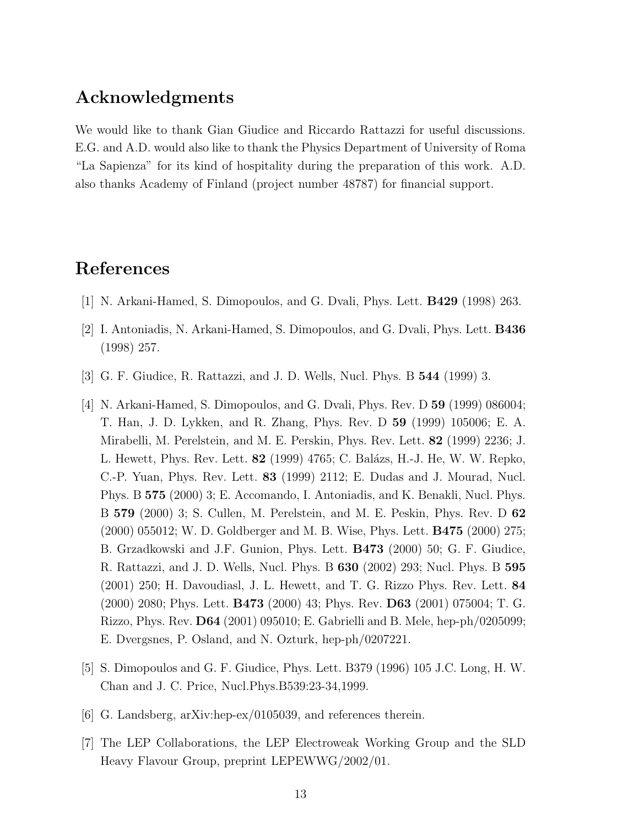### Acknowledgments

We would like to thank Gian Giudice and Riccardo Rattazzi for useful discussions. E.G. and A.D. would also like to thank the Physics Department of University of Roma "La Sapienza" for its kind of hospitality during the preparation of this work. A.D. also thanks Academy of Finland (project number 48787) for financial support.

# References

- [1] N. Arkani-Hamed, S. Dimopoulos, and G. Dvali, Phys. Lett. B429 (1998) 263.
- [2] I. Antoniadis, N. Arkani-Hamed, S. Dimopoulos, and G. Dvali, Phys. Lett. B436 (1998) 257.
- [3] G. F. Giudice, R. Rattazzi, and J. D. Wells, Nucl. Phys. B 544 (1999) 3.
- [4] N. Arkani-Hamed, S. Dimopoulos, and G. Dvali, Phys. Rev. D 59 (1999) 086004; T. Han, J. D. Lykken, and R. Zhang, Phys. Rev. D 59 (1999) 105006; E. A. Mirabelli, M. Perelstein, and M. E. Perskin, Phys. Rev. Lett. 82 (1999) 2236; J. L. Hewett, Phys. Rev. Lett. **82** (1999) 4765; C. Balázs, H.-J. He, W. W. Repko, C.-P. Yuan, Phys. Rev. Lett. 83 (1999) 2112; E. Dudas and J. Mourad, Nucl. Phys. B 575 (2000) 3; E. Accomando, I. Antoniadis, and K. Benakli, Nucl. Phys. B 579 (2000) 3; S. Cullen, M. Perelstein, and M. E. Peskin, Phys. Rev. D 62 (2000) 055012; W. D. Goldberger and M. B. Wise, Phys. Lett. B475 (2000) 275; B. Grzadkowski and J.F. Gunion, Phys. Lett. B473 (2000) 50; G. F. Giudice, R. Rattazzi, and J. D. Wells, Nucl. Phys. B 630 (2002) 293; Nucl. Phys. B 595 (2001) 250; H. Davoudiasl, J. L. Hewett, and T. G. Rizzo Phys. Rev. Lett. 84 (2000) 2080; Phys. Lett. B473 (2000) 43; Phys. Rev. D63 (2001) 075004; T. G. Rizzo, Phys. Rev. D64 (2001) 095010; E. Gabrielli and B. Mele, hep-ph/0205099; E. Dvergsnes, P. Osland, and N. Ozturk, hep-ph/0207221.
- [5] S. Dimopoulos and G. F. Giudice, Phys. Lett. B379 (1996) 105 J.C. Long, H. W. Chan and J. C. Price, Nucl.Phys.B539:23-34,1999.
- [6] G. Landsberg, arXiv:hep-ex/0105039, and references therein.
- [7] The LEP Collaborations, the LEP Electroweak Working Group and the SLD Heavy Flavour Group, preprint LEPEWWG/2002/01.